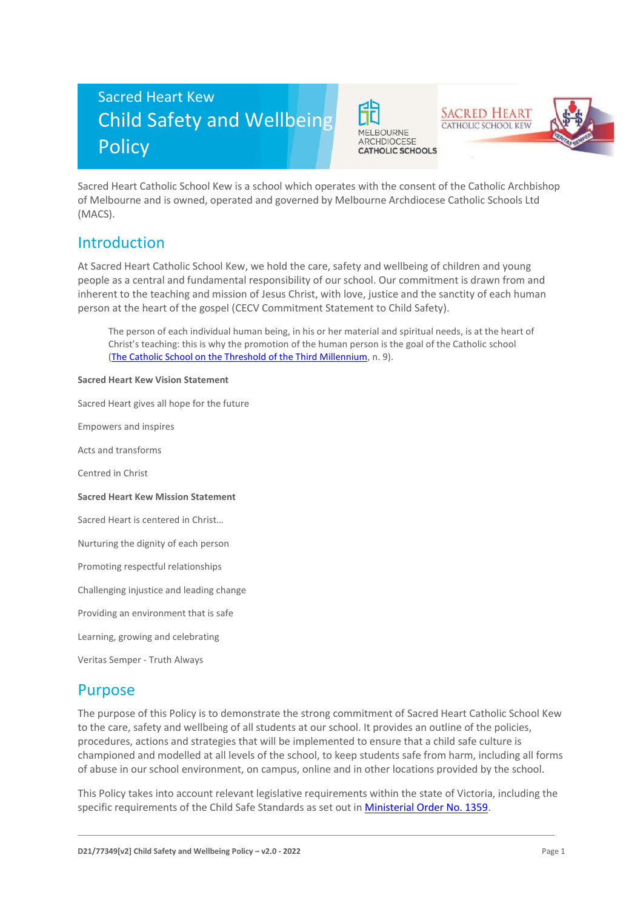# Sacred Heart Kew Child Safety and Wellbeing **Policy**





Sacred Heart Catholic School Kew is a school which operates with the consent of the Catholic Archbishop of Melbourne and is owned, operated and governed by Melbourne Archdiocese Catholic Schools Ltd (MACS).

### Introduction

At Sacred Heart Catholic School Kew, we hold the care, safety and wellbeing of children and young people as a central and fundamental responsibility of our school. Our commitment is drawn from and inherent to the teaching and mission of Jesus Christ, with love, justice and the sanctity of each human person at the heart of the gospel (CECV Commitment Statement to Child Safety).

The person of each individual human being, in his or her material and spiritual needs, is at the heart of Christ's teaching: this is why the promotion of the human person is the goal of the Catholic school [\(The Catholic School on the Threshold of the Third Millennium,](http://www.vatican.va/roman_curia/congregations/ccatheduc/documents/rc_con_ccatheduc_doc_27041998_school2000_en.html) n. 9).

#### **Sacred Heart Kew Vision Statement**

Sacred Heart gives all hope for the future

Empowers and inspires

Acts and transforms

Centred in Christ

#### **Sacred Heart Kew Mission Statement**

Sacred Heart is centered in Christ…

Nurturing the dignity of each person

Promoting respectful relationships

Challenging injustice and leading change

Providing an environment that is safe

Learning, growing and celebrating

Veritas Semper - Truth Always

### Purpose

The purpose of this Policy is to demonstrate the strong commitment of Sacred Heart Catholic School Kew to the care, safety and wellbeing of all students at our school. It provides an outline of the policies, procedures, actions and strategies that will be implemented to ensure that a child safe culture is championed and modelled at all levels of the school, to keep students safe from harm, including all forms of abuse in our school environment, on campus, online and in other locations provided by the school.

This Policy takes into account relevant legislative requirements within the state of Victoria, including the specific requirements of the Child Safe Standards as set out in [Ministerial Order No. 1359.](https://www.vrqa.vic.gov.au/Documents/MinOrder1359childsafe.pdf)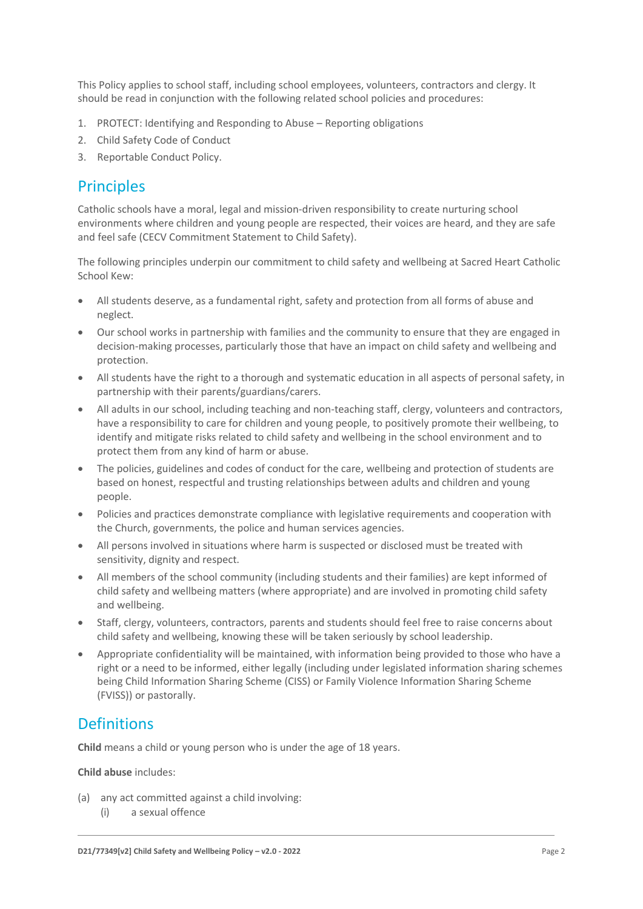This Policy applies to school staff, including school employees, volunteers, contractors and clergy. It should be read in conjunction with the following related school policies and procedures:

- 1. PROTECT: Identifying and Responding to Abuse Reporting obligations
- 2. Child Safety Code of Conduct
- 3. Reportable Conduct Policy.

### **Principles**

Catholic schools have a moral, legal and mission-driven responsibility to create nurturing school environments where children and young people are respected, their voices are heard, and they are safe and feel safe (CECV Commitment Statement to Child Safety).

The following principles underpin our commitment to child safety and wellbeing at Sacred Heart Catholic School Kew:

- All students deserve, as a fundamental right, safety and protection from all forms of abuse and neglect.
- Our school works in partnership with families and the community to ensure that they are engaged in decision-making processes, particularly those that have an impact on child safety and wellbeing and protection.
- All students have the right to a thorough and systematic education in all aspects of personal safety, in partnership with their parents/guardians/carers.
- All adults in our school, including teaching and non-teaching staff, clergy, volunteers and contractors, have a responsibility to care for children and young people, to positively promote their wellbeing, to identify and mitigate risks related to child safety and wellbeing in the school environment and to protect them from any kind of harm or abuse.
- The policies, guidelines and codes of conduct for the care, wellbeing and protection of students are based on honest, respectful and trusting relationships between adults and children and young people.
- Policies and practices demonstrate compliance with legislative requirements and cooperation with the Church, governments, the police and human services agencies.
- All persons involved in situations where harm is suspected or disclosed must be treated with sensitivity, dignity and respect.
- All members of the school community (including students and their families) are kept informed of child safety and wellbeing matters (where appropriate) and are involved in promoting child safety and wellbeing.
- Staff, clergy, volunteers, contractors, parents and students should feel free to raise concerns about child safety and wellbeing, knowing these will be taken seriously by school leadership.
- Appropriate confidentiality will be maintained, with information being provided to those who have a right or a need to be informed, either legally (including under legislated information sharing schemes being Child Information Sharing Scheme (CISS) or Family Violence Information Sharing Scheme (FVISS)) or pastorally.

### Definitions

**Child** means a child or young person who is under the age of 18 years.

#### **Child abuse** includes:

- (a) any act committed against a child involving:
	- (i) a sexual offence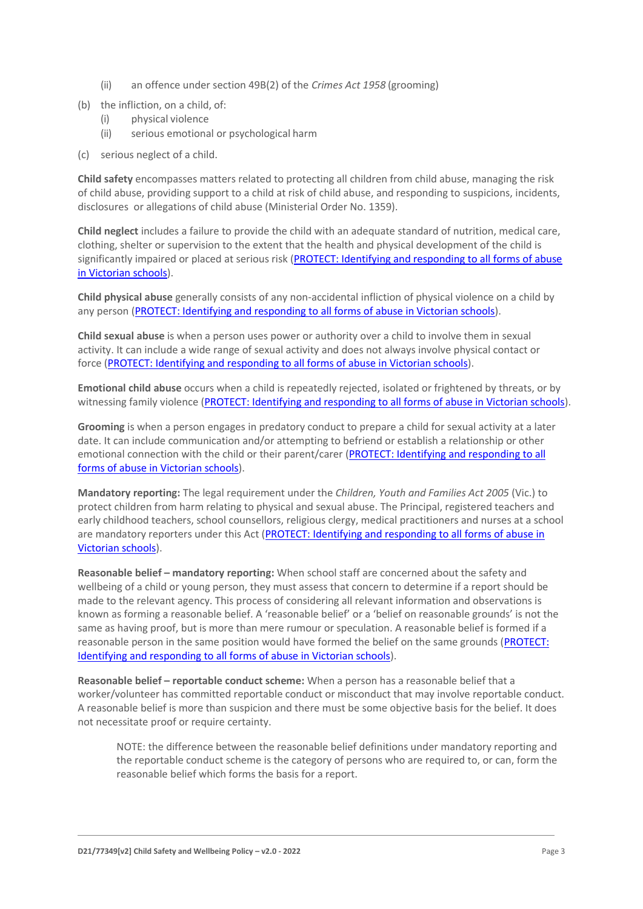- (ii) an offence under section 49B(2) of the *Crimes Act 1958* (grooming)
- (b) the infliction, on a child, of:
	- (i) physical violence
	- (ii) serious emotional or psychological harm
- (c) serious neglect of a child.

**Child safety** encompasses matters related to protecting all children from child abuse, managing the risk of child abuse, providing support to a child at risk of child abuse, and responding to suspicions, incidents, disclosures or allegations of child abuse (Ministerial Order No. 1359).

**Child neglect** includes a failure to provide the child with an adequate standard of nutrition, medical care, clothing, shelter or supervision to the extent that the health and physical development of the child is significantly impaired or placed at serious risk (PROTECT: Identifying and responding to all forms of abuse [in Victorian schools\)](http://www.cecv.catholic.edu.au/getmedia/ebe135a4-d1b3-48a0-81fe-50d4fc451bcd/Identifying-and-Responding-to-All-Forms-of-Abuse.aspx#page%3D27).

**Child physical abuse** generally consists of any non-accidental infliction of physical violence on a child by any person [\(PROTECT: Identifying and responding to all forms of abuse in Victorian schools\)](https://www.cecv.catholic.edu.au/getmedia/ebe135a4-d1b3-48a0-81fe-50d4fc451bcd/Identifying-and-Responding-to-All-Forms-of-Abuse.aspx#page%3D15).

**Child sexual abuse** is when a person uses power or authority over a child to involve them in sexual activity. It can include a wide range of sexual activity and does not always involve physical contact or force [\(PROTECT: Identifying and responding to all forms of abuse in Victorian schools\)](https://www.cecv.catholic.edu.au/getmedia/ebe135a4-d1b3-48a0-81fe-50d4fc451bcd/Identifying-and-Responding-to-All-Forms-of-Abuse.aspx#page%3D17).

**Emotional child abuse** occurs when a child is repeatedly rejected, isolated or frightened by threats, or by witnessing family violence [\(PROTECT: Identifying and responding to all forms of abuse in Victorian schools\)](https://www.cecv.catholic.edu.au/getmedia/ebe135a4-d1b3-48a0-81fe-50d4fc451bcd/Identifying-and-Responding-to-All-Forms-of-Abuse.aspx#page%3D26).

**Grooming** is when a person engages in predatory conduct to prepare a child for sexual activity at a later date. It can include communication and/or attempting to befriend or establish a relationship or other emotional connection with the child or their parent/carer (PROTECT: Identifying and responding to all [forms of abuse in Victorian schools\)](https://www.cecv.catholic.edu.au/getmedia/ebe135a4-d1b3-48a0-81fe-50d4fc451bcd/Identifying-and-Responding-to-All-Forms-of-Abuse.aspx#page%3D20).

**Mandatory reporting:** The legal requirement under the *Children, Youth and Families Act 2005* (Vic.) to protect children from harm relating to physical and sexual abuse. The Principal, registered teachers and early childhood teachers, school counsellors, religious clergy, medical practitioners and nurses at a school are mandatory reporters under this Act [\(PROTECT: Identifying and responding to all forms of abuse in](http://www.cecv.catholic.edu.au/getmedia/ebe135a4-d1b3-48a0-81fe-50d4fc451bcd/Identifying-and-Responding-to-All-Forms-of-Abuse.aspx#page%3D8)  [Victorian schools\)](http://www.cecv.catholic.edu.au/getmedia/ebe135a4-d1b3-48a0-81fe-50d4fc451bcd/Identifying-and-Responding-to-All-Forms-of-Abuse.aspx#page%3D8).

**Reasonable belief – mandatory reporting:** When school staff are concerned about the safety and wellbeing of a child or young person, they must assess that concern to determine if a report should be made to the relevant agency. This process of considering all relevant information and observations is known as forming a reasonable belief. A 'reasonable belief' or a 'belief on reasonable grounds' is not the same as having proof, but is more than mere rumour or speculation. A reasonable belief is formed if a reasonable person in the same position would have formed the belief on the same grounds [\(PROTECT:](http://www.cecv.catholic.edu.au/getmedia/ebe135a4-d1b3-48a0-81fe-50d4fc451bcd/Identifying-and-Responding-to-All-Forms-of-Abuse.aspx#page%3D35)  [Identifying and responding to all forms of abuse in Victorian schools\)](http://www.cecv.catholic.edu.au/getmedia/ebe135a4-d1b3-48a0-81fe-50d4fc451bcd/Identifying-and-Responding-to-All-Forms-of-Abuse.aspx#page%3D35).

**Reasonable belief – reportable conduct scheme:** When a person has a reasonable belief that a worker/volunteer has committed reportable conduct or misconduct that may involve reportable conduct. A reasonable belief is more than suspicion and there must be some objective basis for the belief. It does not necessitate proof or require certainty.

NOTE: the difference between the reasonable belief definitions under mandatory reporting and the reportable conduct scheme is the category of persons who are required to, or can, form the reasonable belief which forms the basis for a report.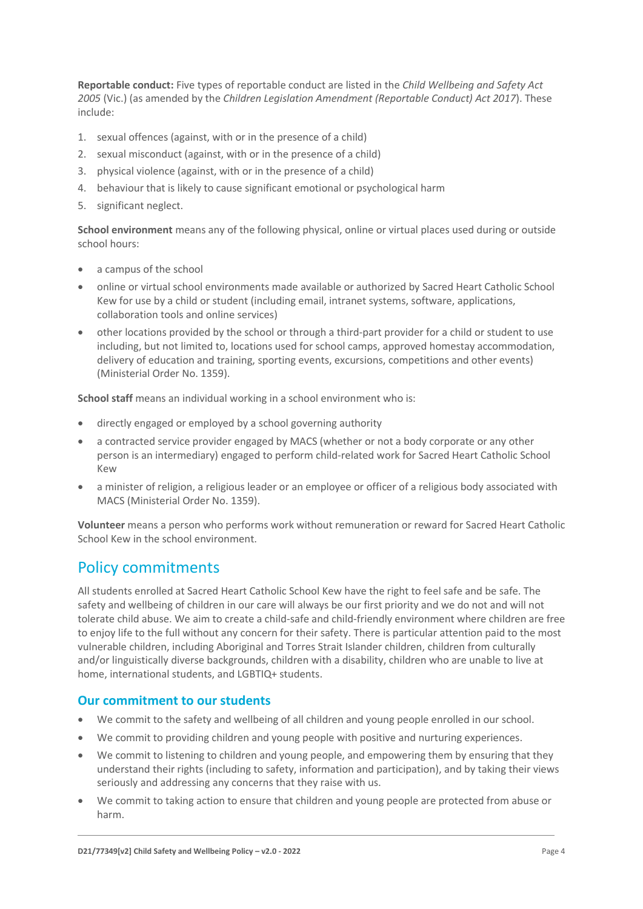**Reportable conduct:** Five types of reportable conduct are listed in the *Child Wellbeing and Safety Act 2005* (Vic.) (as amended by the *Children Legislation Amendment (Reportable Conduct) Act 2017*). These include:

- 1. sexual offences (against, with or in the presence of a child)
- 2. sexual misconduct (against, with or in the presence of a child)
- 3. physical violence (against, with or in the presence of a child)
- 4. behaviour that is likely to cause significant emotional or psychological harm
- 5. significant neglect.

**School environment** means any of the following physical, online or virtual places used during or outside school hours:

- a campus of the school
- online or virtual school environments made available or authorized by Sacred Heart Catholic School Kew for use by a child or student (including email, intranet systems, software, applications, collaboration tools and online services)
- other locations provided by the school or through a third-part provider for a child or student to use including, but not limited to, locations used for school camps, approved homestay accommodation, delivery of education and training, sporting events, excursions, competitions and other events) (Ministerial Order No. 1359).

**School staff** means an individual working in a school environment who is:

- directly engaged or employed by a school governing authority
- a contracted service provider engaged by MACS (whether or not a body corporate or any other person is an intermediary) engaged to perform child-related work for Sacred Heart Catholic School Kew
- a minister of religion, a religious leader or an employee or officer of a religious body associated with MACS (Ministerial Order No. 1359).

**Volunteer** means a person who performs work without remuneration or reward for Sacred Heart Catholic School Kew in the school environment.

### Policy commitments

All students enrolled at Sacred Heart Catholic School Kew have the right to feel safe and be safe. The safety and wellbeing of children in our care will always be our first priority and we do not and will not tolerate child abuse. We aim to create a child-safe and child-friendly environment where children are free to enjoy life to the full without any concern for their safety. There is particular attention paid to the most vulnerable children, including Aboriginal and Torres Strait Islander children, children from culturally and/or linguistically diverse backgrounds, children with a disability, children who are unable to live at home, international students, and LGBTIQ+ students.

#### **Our commitment to our students**

- We commit to the safety and wellbeing of all children and young people enrolled in our school.
- We commit to providing children and young people with positive and nurturing experiences.
- We commit to listening to children and young people, and empowering them by ensuring that they understand their rights (including to safety, information and participation), and by taking their views seriously and addressing any concerns that they raise with us.
- We commit to taking action to ensure that children and young people are protected from abuse or harm.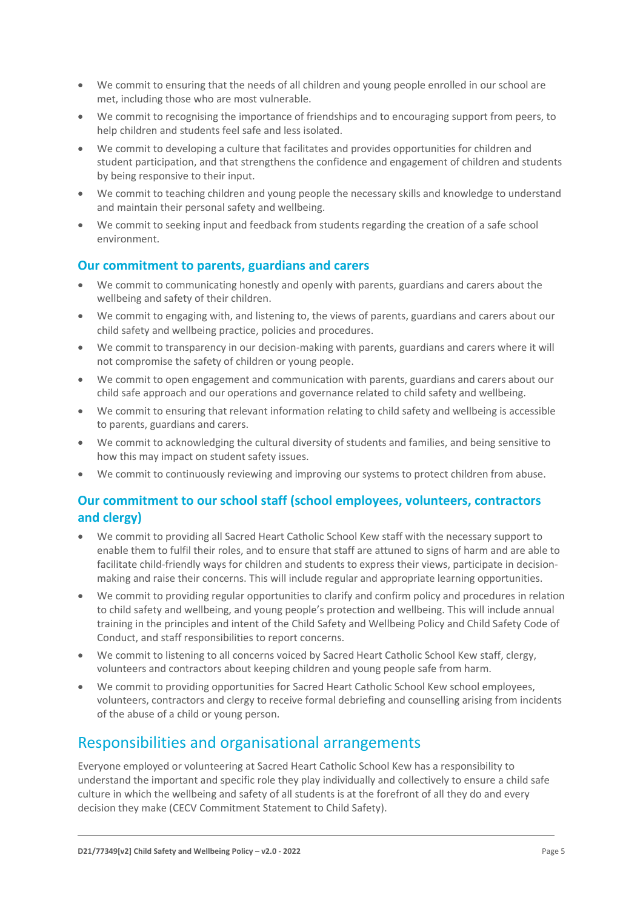- We commit to ensuring that the needs of all children and young people enrolled in our school are met, including those who are most vulnerable.
- We commit to recognising the importance of friendships and to encouraging support from peers, to help children and students feel safe and less isolated.
- We commit to developing a culture that facilitates and provides opportunities for children and student participation, and that strengthens the confidence and engagement of children and students by being responsive to their input.
- We commit to teaching children and young people the necessary skills and knowledge to understand and maintain their personal safety and wellbeing.
- We commit to seeking input and feedback from students regarding the creation of a safe school environment.

### **Our commitment to parents, guardians and carers**

- We commit to communicating honestly and openly with parents, guardians and carers about the wellbeing and safety of their children.
- We commit to engaging with, and listening to, the views of parents, guardians and carers about our child safety and wellbeing practice, policies and procedures.
- We commit to transparency in our decision-making with parents, guardians and carers where it will not compromise the safety of children or young people.
- We commit to open engagement and communication with parents, guardians and carers about our child safe approach and our operations and governance related to child safety and wellbeing.
- We commit to ensuring that relevant information relating to child safety and wellbeing is accessible to parents, guardians and carers.
- We commit to acknowledging the cultural diversity of students and families, and being sensitive to how this may impact on student safety issues.
- We commit to continuously reviewing and improving our systems to protect children from abuse.

### **Our commitment to our school staff (school employees, volunteers, contractors and clergy)**

- We commit to providing all Sacred Heart Catholic School Kew staff with the necessary support to enable them to fulfil their roles, and to ensure that staff are attuned to signs of harm and are able to facilitate child-friendly ways for children and students to express their views, participate in decisionmaking and raise their concerns. This will include regular and appropriate learning opportunities.
- We commit to providing regular opportunities to clarify and confirm policy and procedures in relation to child safety and wellbeing, and young people's protection and wellbeing. This will include annual training in the principles and intent of the Child Safety and Wellbeing Policy and Child Safety Code of Conduct, and staff responsibilities to report concerns.
- We commit to listening to all concerns voiced by Sacred Heart Catholic School Kew staff, clergy, volunteers and contractors about keeping children and young people safe from harm.
- We commit to providing opportunities for Sacred Heart Catholic School Kew school employees, volunteers, contractors and clergy to receive formal debriefing and counselling arising from incidents of the abuse of a child or young person.

### Responsibilities and organisational arrangements

Everyone employed or volunteering at Sacred Heart Catholic School Kew has a responsibility to understand the important and specific role they play individually and collectively to ensure a child safe culture in which the wellbeing and safety of all students is at the forefront of all they do and every decision they make (CECV Commitment Statement to Child Safety).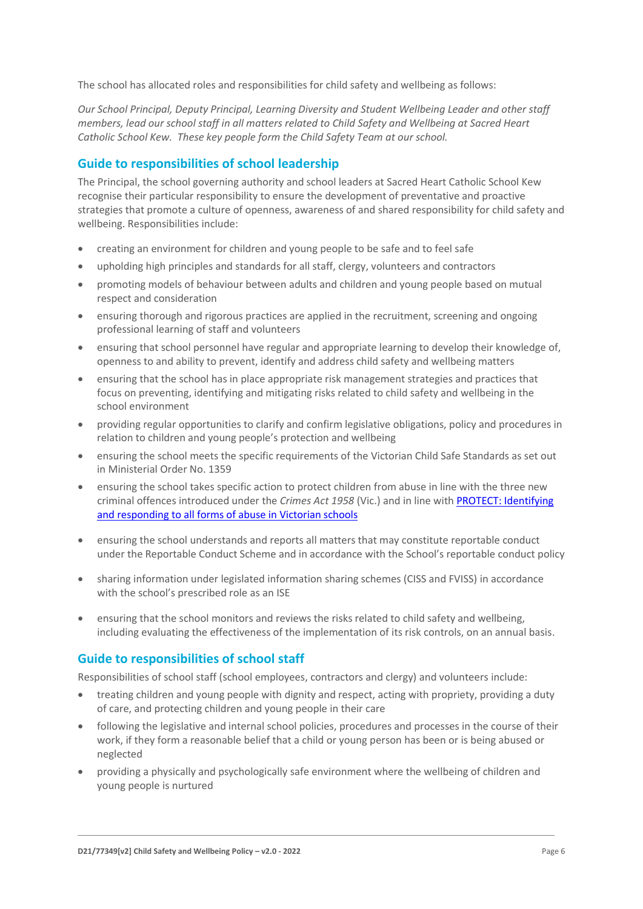The school has allocated roles and responsibilities for child safety and wellbeing as follows:

*Our School Principal, Deputy Principal, Learning Diversity and Student Wellbeing Leader and other staff members, lead our school staff in all matters related to Child Safety and Wellbeing at Sacred Heart Catholic School Kew. These key people form the Child Safety Team at our school.* 

### **Guide to responsibilities of school leadership**

The Principal, the school governing authority and school leaders at Sacred Heart Catholic School Kew recognise their particular responsibility to ensure the development of preventative and proactive strategies that promote a culture of openness, awareness of and shared responsibility for child safety and wellbeing. Responsibilities include:

- creating an environment for children and young people to be safe and to feel safe
- upholding high principles and standards for all staff, clergy, volunteers and contractors
- promoting models of behaviour between adults and children and young people based on mutual respect and consideration
- ensuring thorough and rigorous practices are applied in the recruitment, screening and ongoing professional learning of staff and volunteers
- ensuring that school personnel have regular and appropriate learning to develop their knowledge of, openness to and ability to prevent, identify and address child safety and wellbeing matters
- ensuring that the school has in place appropriate risk management strategies and practices that focus on preventing, identifying and mitigating risks related to child safety and wellbeing in the school environment
- providing regular opportunities to clarify and confirm legislative obligations, policy and procedures in relation to children and young people's protection and wellbeing
- ensuring the school meets the specific requirements of the Victorian Child Safe Standards as set out in Ministerial Order No. 1359
- ensuring the school takes specific action to protect children from abuse in line with the three new criminal offences introduced under the *Crimes Act 1958* (Vic.) and in line wit[h PROTECT: Identifying](http://www.cecv.catholic.edu.au/getmedia/ebe135a4-d1b3-48a0-81fe-50d4fc451bcd/Identifying-and-Responding-to-All-Forms-of-Abuse.aspx)  [and responding to all forms of abuse in Victorian schools](http://www.cecv.catholic.edu.au/getmedia/ebe135a4-d1b3-48a0-81fe-50d4fc451bcd/Identifying-and-Responding-to-All-Forms-of-Abuse.aspx)
- ensuring the school understands and reports all matters that may constitute reportable conduct under the Reportable Conduct Scheme and in accordance with the School's reportable conduct policy
- sharing information under legislated information sharing schemes (CISS and FVISS) in accordance with the school's prescribed role as an ISE
- ensuring that the school monitors and reviews the risks related to child safety and wellbeing, including evaluating the effectiveness of the implementation of its risk controls, on an annual basis.

#### **Guide to responsibilities of school staff**

Responsibilities of school staff (school employees, contractors and clergy) and volunteers include:

- treating children and young people with dignity and respect, acting with propriety, providing a duty of care, and protecting children and young people in their care
- following the legislative and internal school policies, procedures and processes in the course of their work, if they form a reasonable belief that a child or young person has been or is being abused or neglected
- providing a physically and psychologically safe environment where the wellbeing of children and young people is nurtured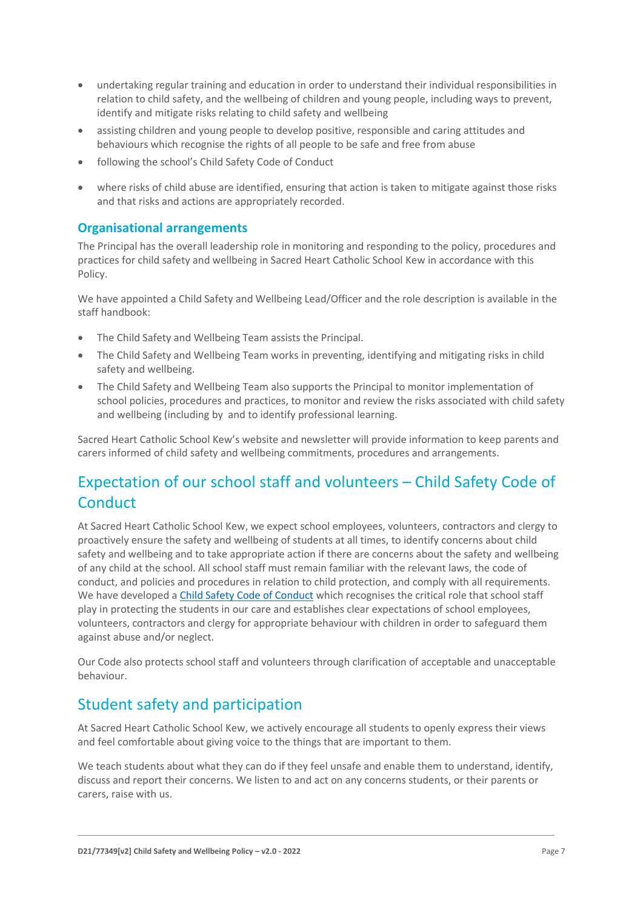- undertaking regular training and education in order to understand their individual responsibilities in relation to child safety, and the wellbeing of children and young people, including ways to prevent, identify and mitigate risks relating to child safety and wellbeing
- assisting children and young people to develop positive, responsible and caring attitudes and behaviours which recognise the rights of all people to be safe and free from abuse
- following the school's Child Safety Code of Conduct
- where risks of child abuse are identified, ensuring that action is taken to mitigate against those risks and that risks and actions are appropriately recorded.

### **Organisational arrangements**

The Principal has the overall leadership role in monitoring and responding to the policy, procedures and practices for child safety and wellbeing in Sacred Heart Catholic School Kew in accordance with this Policy.

We have appointed a Child Safety and Wellbeing Lead/Officer and the role description is available in the staff handbook:

- The Child Safety and Wellbeing Team assists the Principal.
- The Child Safety and Wellbeing Team works in preventing, identifying and mitigating risks in child safety and wellbeing.
- The Child Safety and Wellbeing Team also supports the Principal to monitor implementation of school policies, procedures and practices, to monitor and review the risks associated with child safety and wellbeing (including by and to identify professional learning.

Sacred Heart Catholic School Kew's website and newsletter will provide information to keep parents and carers informed of child safety and wellbeing commitments, procedures and arrangements.

# Expectation of our school staff and volunteers – Child Safety Code of **Conduct**

At Sacred Heart Catholic School Kew, we expect school employees, volunteers, contractors and clergy to proactively ensure the safety and wellbeing of students at all times, to identify concerns about child safety and wellbeing and to take appropriate action if there are concerns about the safety and wellbeing of any child at the school. All school staff must remain familiar with the relevant laws, the code of conduct, and policies and procedures in relation to child protection, and comply with all requirements. We have developed [a Child Safety Code of Conduct](https://www.shkew.catholic.edu.au/_files/ugd/09d245_292c09ed35d34de99e7cabe91b68a500.pdf) which recognises the critical role that school staff play in protecting the students in our care and establishes clear expectations of school employees, volunteers, contractors and clergy for appropriate behaviour with children in order to safeguard them against abuse and/or neglect.

Our Code also protects school staff and volunteers through clarification of acceptable and unacceptable behaviour.

# Student safety and participation

At Sacred Heart Catholic School Kew, we actively encourage all students to openly express their views and feel comfortable about giving voice to the things that are important to them.

We teach students about what they can do if they feel unsafe and enable them to understand, identify, discuss and report their concerns. We listen to and act on any concerns students, or their parents or carers, raise with us.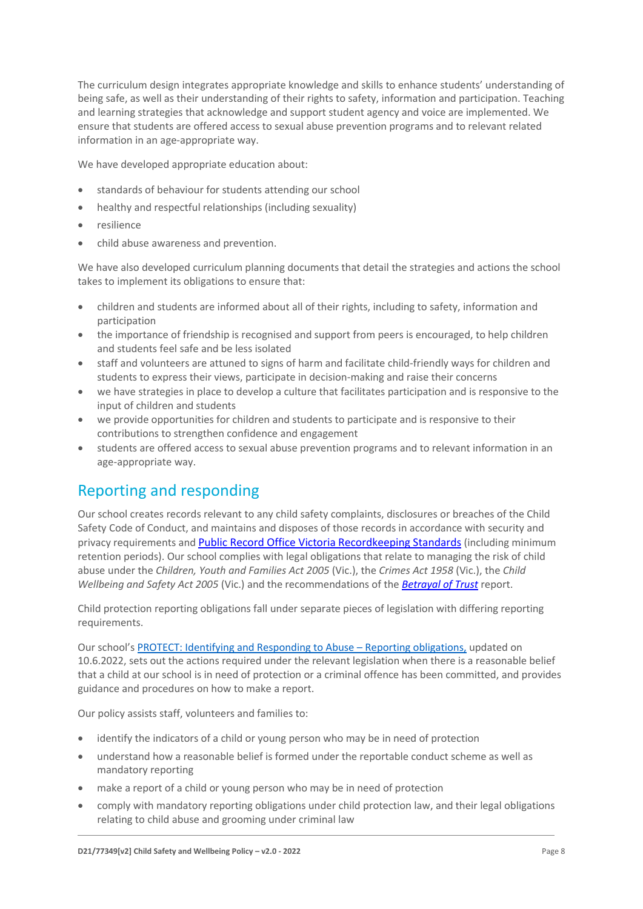The curriculum design integrates appropriate knowledge and skills to enhance students' understanding of being safe, as well as their understanding of their rights to safety, information and participation. Teaching and learning strategies that acknowledge and support student agency and voice are implemented. We ensure that students are offered access to sexual abuse prevention programs and to relevant related information in an age-appropriate way.

We have developed appropriate education about:

- standards of behaviour for students attending our school
- healthy and respectful relationships (including sexuality)
- resilience
- child abuse awareness and prevention.

We have also developed curriculum planning documents that detail the strategies and actions the school takes to implement its obligations to ensure that:

- children and students are informed about all of their rights, including to safety, information and participation
- the importance of friendship is recognised and support from peers is encouraged, to help children and students feel safe and be less isolated
- staff and volunteers are attuned to signs of harm and facilitate child-friendly ways for children and students to express their views, participate in decision-making and raise their concerns
- we have strategies in place to develop a culture that facilitates participation and is responsive to the input of children and students
- we provide opportunities for children and students to participate and is responsive to their contributions to strengthen confidence and engagement
- students are offered access to sexual abuse prevention programs and to relevant information in an age-appropriate way.

# Reporting and responding

Our school creates records relevant to any child safety complaints, disclosures or breaches of the Child Safety Code of Conduct, and maintains and disposes of those records in accordance with security and privacy requirements and [Public Record Office Victoria Recordkeeping Standards](https://prov.vic.gov.au/sites/default/files/files/documents/1906v1.0.pdf) (including minimum retention periods). Our school complies with legal obligations that relate to managing the risk of child abuse under the *Children, Youth and Families Act 2005* (Vic.), the *Crimes Act 1958* (Vic.), the *Child Wellbeing and Safety Act 2005* (Vic.) and the recommendations of the *[Betrayal of Trust](http://www.parliament.vic.gov.au/fcdc/article/1788)* report.

Child protection reporting obligations fall under separate pieces of legislation with differing reporting requirements.

Our school's [PROTECT: Identifying and Responding to Abuse](https://www.shkew.catholic.edu.au/_files/ugd/09d245_f429ecd42a354428acab3a90067c4a64.pdf) – Reporting obligations, updated on 10.6.2022, sets out the actions required under the relevant legislation when there is a reasonable belief that a child at our school is in need of protection or a criminal offence has been committed, and provides guidance and procedures on how to make a report.

Our policy assists staff, volunteers and families to:

- identify the indicators of a child or young person who may be in need of protection
- understand how a reasonable belief is formed under the reportable conduct scheme as well as mandatory reporting
- make a report of a child or young person who may be in need of protection
- comply with mandatory reporting obligations under child protection law, and their legal obligations relating to child abuse and grooming under criminal law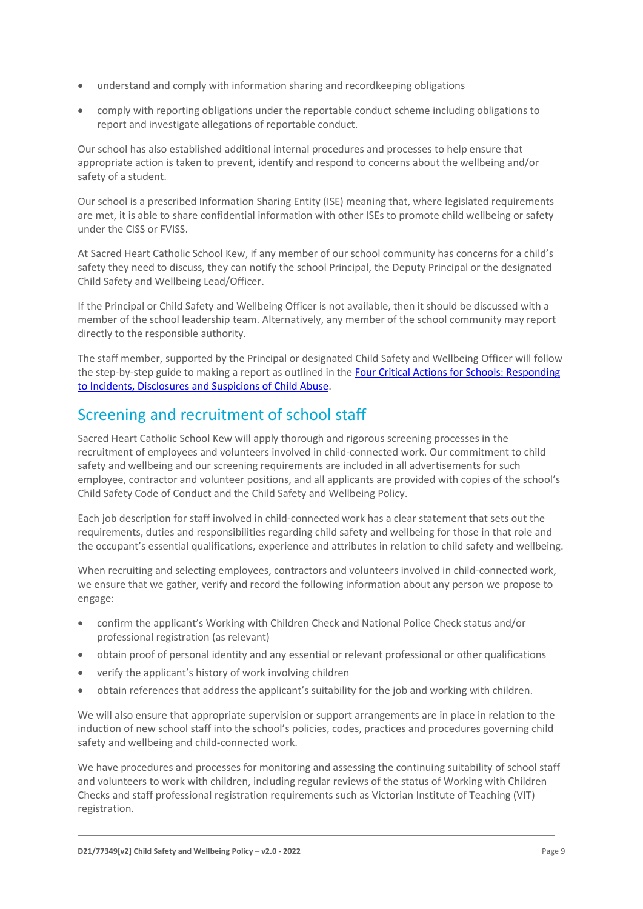- understand and comply with information sharing and recordkeeping obligations
- comply with reporting obligations under the reportable conduct scheme including obligations to report and investigate allegations of reportable conduct.

Our school has also established additional internal procedures and processes to help ensure that appropriate action is taken to prevent, identify and respond to concerns about the wellbeing and/or safety of a student.

Our school is a prescribed Information Sharing Entity (ISE) meaning that, where legislated requirements are met, it is able to share confidential information with other ISEs to promote child wellbeing or safety under the CISS or FVISS.

At Sacred Heart Catholic School Kew, if any member of our school community has concerns for a child's safety they need to discuss, they can notify the school Principal, the Deputy Principal or the designated Child Safety and Wellbeing Lead/Officer.

If the Principal or Child Safety and Wellbeing Officer is not available, then it should be discussed with a member of the school leadership team. Alternatively, any member of the school community may report directly to the responsible authority.

The staff member, supported by the Principal or designated Child Safety and Wellbeing Officer will follow the step-by-step guide to making a report as outlined in the Four Critical Actions [for Schools: Responding](https://www.education.vic.gov.au/Documents/about/programs/health/protect/FourCriticalActions_ChildAbuse.pdf)  [to Incidents, Disclosures and Suspicions of Child Abuse.](https://www.education.vic.gov.au/Documents/about/programs/health/protect/FourCriticalActions_ChildAbuse.pdf)

# Screening and recruitment of school staff

Sacred Heart Catholic School Kew will apply thorough and rigorous screening processes in the recruitment of employees and volunteers involved in child-connected work. Our commitment to child safety and wellbeing and our screening requirements are included in all advertisements for such employee, contractor and volunteer positions, and all applicants are provided with copies of the school's Child Safety Code of Conduct and the Child Safety and Wellbeing Policy.

Each job description for staff involved in child-connected work has a clear statement that sets out the requirements, duties and responsibilities regarding child safety and wellbeing for those in that role and the occupant's essential qualifications, experience and attributes in relation to child safety and wellbeing.

When recruiting and selecting employees, contractors and volunteers involved in child-connected work, we ensure that we gather, verify and record the following information about any person we propose to engage:

- confirm the applicant's Working with Children Check and National Police Check status and/or professional registration (as relevant)
- obtain proof of personal identity and any essential or relevant professional or other qualifications
- verify the applicant's history of work involving children
- obtain references that address the applicant's suitability for the job and working with children.

We will also ensure that appropriate supervision or support arrangements are in place in relation to the induction of new school staff into the school's policies, codes, practices and procedures governing child safety and wellbeing and child-connected work.

We have procedures and processes for monitoring and assessing the continuing suitability of school staff and volunteers to work with children, including regular reviews of the status of Working with Children Checks and staff professional registration requirements such as Victorian Institute of Teaching (VIT) registration.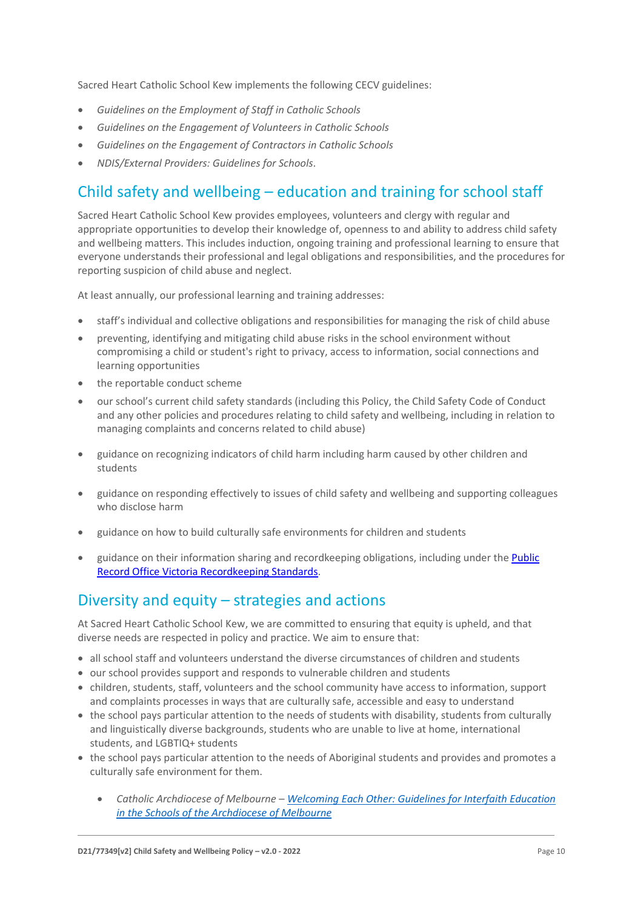Sacred Heart Catholic School Kew implements the following CECV guidelines:

- *Guidelines on the Employment of Staff in Catholic Schools*
- *Guidelines on the Engagement of Volunteers in Catholic Schools*
- *Guidelines on the Engagement of Contractors in Catholic Schools*
- *NDIS/External Providers: Guidelines for Schools*.

### Child safety and wellbeing – education and training for school staff

Sacred Heart Catholic School Kew provides employees, volunteers and clergy with regular and appropriate opportunities to develop their knowledge of, openness to and ability to address child safety and wellbeing matters. This includes induction, ongoing training and professional learning to ensure that everyone understands their professional and legal obligations and responsibilities, and the procedures for reporting suspicion of child abuse and neglect.

At least annually, our professional learning and training addresses:

- staff's individual and collective obligations and responsibilities for managing the risk of child abuse
- preventing, identifying and mitigating child abuse risks in the school environment without compromising a child or student's right to privacy, access to information, social connections and learning opportunities
- the reportable conduct scheme
- our school's current child safety standards (including this Policy, the Child Safety Code of Conduct and any other policies and procedures relating to child safety and wellbeing, including in relation to managing complaints and concerns related to child abuse)
- guidance on recognizing indicators of child harm including harm caused by other children and students
- guidance on responding effectively to issues of child safety and wellbeing and supporting colleagues who disclose harm
- guidance on how to build culturally safe environments for children and students
- guidance on their information sharing and recordkeeping obligations, including under th[e Public](https://prov.vic.gov.au/sites/default/files/files/documents/1906v1.0.pdf)  [Record Office Victoria Recordkeeping Standards.](https://prov.vic.gov.au/sites/default/files/files/documents/1906v1.0.pdf)

### Diversity and equity – strategies and actions

At Sacred Heart Catholic School Kew, we are committed to ensuring that equity is upheld, and that diverse needs are respected in policy and practice. We aim to ensure that:

- all school staff and volunteers understand the diverse circumstances of children and students
- our school provides support and responds to vulnerable children and students
- children, students, staff, volunteers and the school community have access to information, support and complaints processes in ways that are culturally safe, accessible and easy to understand
- the school pays particular attention to the needs of students with disability, students from culturally and linguistically diverse backgrounds, students who are unable to live at home, international students, and LGBTIQ+ students
- the school pays particular attention to the needs of Aboriginal students and provides and promotes a culturally safe environment for them.
	- *Catholic Archdiocese of Melbourne – [Welcoming Each Other: Guidelines for Interfaith Education](http://www.cam1.org.au/eic/welcoming/index.html)  [in the Schools of the Archdiocese of Melbourne](http://www.cam1.org.au/eic/welcoming/index.html)*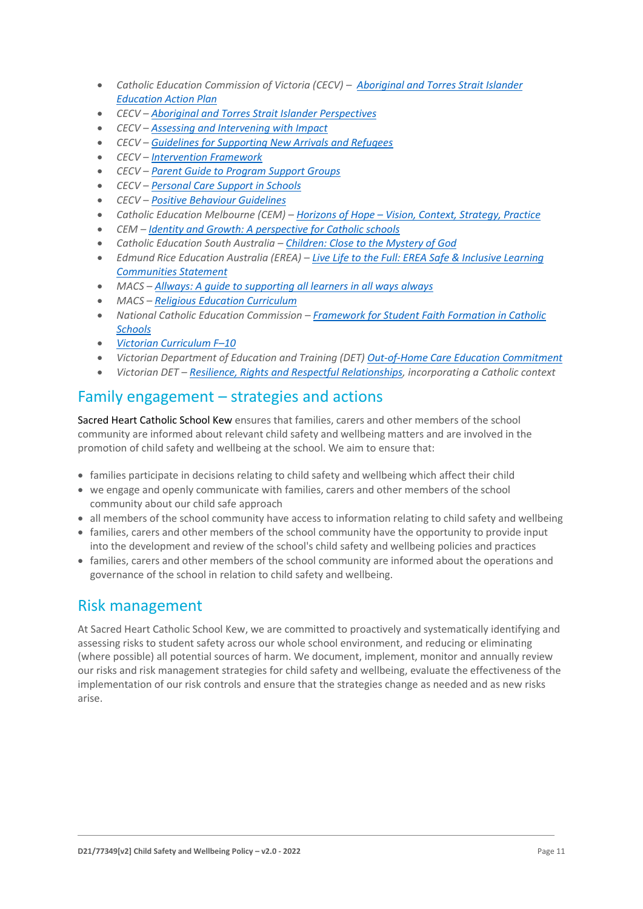- **•** Catholic Education Commission of Victoria (CECV) *Aboriginal and Torres Strait Islander [Education Action Plan](https://www.cecv.catholic.edu.au/getmedia/bd494d6a-2d58-4f9b-94a2-85f3ab75e7ea/CECV-Aboriginal-and-Torres-Strait-Islander-Education-Action-Plan.aspx?ext=.pdf)*
- *CECV – [Aboriginal and Torres Strait Islander Perspectives](https://cevn.cecv.catholic.edu.au/Melb/Student-Support/Cultural-Diversity/ATSI-perspectives)*
- *CECV – [Assessing and Intervening with Impact](https://cevn.cecv.catholic.edu.au/Melb/Document-File/Students-Support/Practices/Assessing-and-intervening-with-impact)*
- *CECV – [Guidelines for Supporting New Arrivals and Refugees](https://www.cecv.catholic.edu.au/getmedia/b1a8935d-5f90-45e6-bb28-828e23c83366/CECV-Guidelines-for-New-Arrivals-and-Refugees-2020-2022.aspx?ext=.pdf)*
- *CECV – [Intervention Framework](https://www.cecv.catholic.edu.au/getmedia/757e80aa-1c1a-4510-8d8a-f1ca72a92adb/CECV-Intervention-Framework-2021-overview.aspx?ext=.pdf)*
- *CECV – [Parent Guide to Program Support Groups](https://www.cecv.catholic.edu.au/getmedia/8067c3e8-72f0-402c-9b78-60450b06c689/Parent-Guide-to-Program-Support-Groups.aspx?ext=.pdf)*
- *CECV – [Personal Care Support in Schools](https://www.cecv.catholic.edu.au/getmedia/56a1892e-fc3f-45f8-b057-daa8dd462dfd/CECV-Personal-Care-Support-in-Schools.aspx?ext=.pdf)*
- *CECV – [Positive Behaviour Guidelines](https://www.cecv.catholic.edu.au/getmedia/bc1d235d-9a98-4bb4-b3ac-84b50fa7c639/CECV-Positive-Behaviour-Guidelines_FINAL2.aspx?ext=.pdf)*
- *Catholic Education Melbourne (CEM) – Horizons of Hope – [Vision, Context, Strategy, Practice](https://cevn.cecv.catholic.edu.au/Melb/Curriculum/Horizons-of-Hope)*
- *CEM – [Identity and Growth: A perspective for Catholic schools](https://cevn.cecv.catholic.edu.au/Melb/MI/Identity-Growth)*
- *Catholic Education South Australia – [Children: Close to the Mystery of God](https://safeguardingchildren.acu.edu.au/-/media/feature/micrositesarticles/safeguardingchildren/children_close_to_mystery_of_god_-vjuly2015rev_20150825.pdf?la=en&hash=A5234C17459BAE41E54584FAA066B9A0)*
- *Edmund Rice Education Australia (EREA) – [Live Life to the Full: EREA Safe & Inclusive Learning](https://www.erea.edu.au/wp-content/uploads/2020/09/Safe_and_inclusive_Resource.pdf)  [Communities Statement](https://www.erea.edu.au/wp-content/uploads/2020/09/Safe_and_inclusive_Resource.pdf)*
- *MACS – [Allways: A guide to supporting all learners in all ways always](https://www.macs.vic.edu.au/CatholicEducationMelbourne/media/Documentation/Documents/Allways-A4-book-Guide-web.pdf)*
- *MACS – [Religious Education Curriculum](https://resource-macs.com/)*
- *National Catholic Education Commission – Framework for [Student Faith Formation in Catholic](https://www.ncec.catholic.edu.au/doclink/student-faith-formation-in-catholic-schools-february-2022/eyJ0eXAiOiJKV1QiLCJhbGciOiJIUzI1NiJ9.eyJzdWIiOiJzdHVkZW50LWZhaXRoLWZvcm1hdGlvbi1pbi1jYXRob2xpYy1zY2hvb2xzLWZlYnJ1YXJ5LTIwMjIiLCJpYXQiOjE2NDQyNzM3NTYsImV4cCI6MTY0NDM2MDE1Nn0.jGLDyhU7PGuIaDiSI4Pv5ODo78qVCxDaI9e5o0m7CVg)  [Schools](https://www.ncec.catholic.edu.au/doclink/student-faith-formation-in-catholic-schools-february-2022/eyJ0eXAiOiJKV1QiLCJhbGciOiJIUzI1NiJ9.eyJzdWIiOiJzdHVkZW50LWZhaXRoLWZvcm1hdGlvbi1pbi1jYXRob2xpYy1zY2hvb2xzLWZlYnJ1YXJ5LTIwMjIiLCJpYXQiOjE2NDQyNzM3NTYsImV4cCI6MTY0NDM2MDE1Nn0.jGLDyhU7PGuIaDiSI4Pv5ODo78qVCxDaI9e5o0m7CVg)*
- *[Victorian Curriculum F](https://victoriancurriculum.vcaa.vic.edu.au/)–10*
- *Victorian Department of Education and Training (DET) [Out-of-Home Care Education Commitment](https://www.cecv.catholic.edu.au/getmedia/11631bac-6208-4324-887e-0aca88189126/OoHC-Education-Commitment.aspx?ext=.pdf)*
- *Victorian DET – [Resilience, Rights and Respectful Relationships,](https://fuse.education.vic.gov.au/ResourcePackage/ByPin?pin=2JZX4R) incorporating a Catholic context*

### Family engagement – strategies and actions

Sacred Heart Catholic School Kew ensures that families, carers and other members of the school community are informed about relevant child safety and wellbeing matters and are involved in the promotion of child safety and wellbeing at the school. We aim to ensure that:

- families participate in decisions relating to child safety and wellbeing which affect their child
- we engage and openly communicate with families, carers and other members of the school community about our child safe approach
- all members of the school community have access to information relating to child safety and wellbeing
- families, carers and other members of the school community have the opportunity to provide input into the development and review of the school's child safety and wellbeing policies and practices
- families, carers and other members of the school community are informed about the operations and governance of the school in relation to child safety and wellbeing.

### Risk management

At Sacred Heart Catholic School Kew, we are committed to proactively and systematically identifying and assessing risks to student safety across our whole school environment, and reducing or eliminating (where possible) all potential sources of harm. We document, implement, monitor and annually review our risks and risk management strategies for child safety and wellbeing, evaluate the effectiveness of the implementation of our risk controls and ensure that the strategies change as needed and as new risks arise.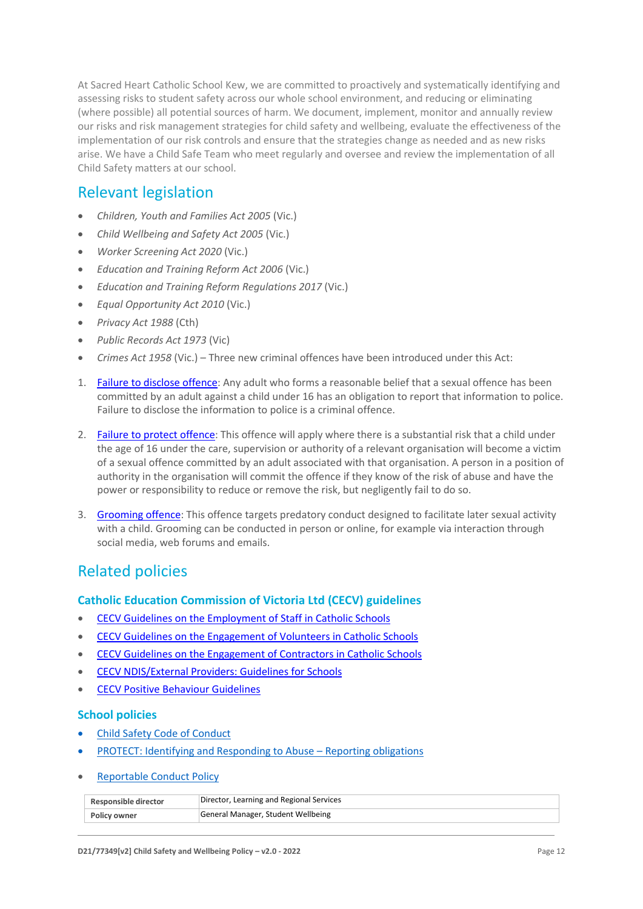At Sacred Heart Catholic School Kew, we are committed to proactively and systematically identifying and assessing risks to student safety across our whole school environment, and reducing or eliminating (where possible) all potential sources of harm. We document, implement, monitor and annually review our risks and risk management strategies for child safety and wellbeing, evaluate the effectiveness of the implementation of our risk controls and ensure that the strategies change as needed and as new risks arise. We have a Child Safe Team who meet regularly and oversee and review the implementation of all Child Safety matters at our school.

### Relevant legislation

- *Children, Youth and Families Act 2005* (Vic.)
- *Child Wellbeing and Safety Act 2005* (Vic.)
- *Worker Screening Act 2020* (Vic.)
- *Education and Training Reform Act 2006* (Vic.)
- *Education and Training Reform Regulations 2017* (Vic.)
- *Equal Opportunity Act 2010* (Vic.)
- *Privacy Act 1988* (Cth)
- *Public Records Act 1973* (Vic)
- *Crimes Act 1958* (Vic.) Three new criminal offences have been introduced under this Act:
- 1. [Failure to disclose offence:](https://www.justice.vic.gov.au/safer-communities/protecting-children-and-families/failure-to-disclose-offence#%3A~%3Atext%3DIn%202014%2C%20the%20law%20in%20Victoria%20was%20changed%2Coffended%20against%20a%20child%20under%2016%20in%20Victoria) Any adult who forms a reasonable belief that a sexual offence has been committed by an adult against a child under 16 has an obligation to report that information to police. Failure to disclose the information to police is a criminal offence.
- 2. [Failure to protect offence:](https://www.justice.vic.gov.au/safer-communities/protecting-children-and-families/failure-to-protect-a-new-criminal-offence-to#%3A~%3Atext%3DFailure%20to%20protect%3A%20a%20new%20criminal%20offence%20to%2Cfrom%20sexual%20abuse%20and%20exposure%20to%20sexual%20offenders) This offence will apply where there is a substantial risk that a child under the age of 16 under the care, supervision or authority of a relevant organisation will become a victim of a sexual offence committed by an adult associated with that organisation. A person in a position of authority in the organisation will commit the offence if they know of the risk of abuse and have the power or responsibility to reduce or remove the risk, but negligently fail to do so.
- 3. [Grooming offence:](https://www.justice.vic.gov.au/safer-communities/protecting-children-and-families/grooming-offence) This offence targets predatory conduct designed to facilitate later sexual activity with a child. Grooming can be conducted in person or online, for example via interaction through social media, web forums and emails.

### Related policies

#### **Catholic Education Commission of Victoria Ltd (CECV) guidelines**

- [CECV Guidelines on the Employment of Staff in Catholic Schools](https://www.cecv.catholic.edu.au/getmedia/0393d7fb-2fb9-4e48-a05e-56b703dd62eb/Employment-Guidelines.aspx)
- [CECV Guidelines on the Engagement of Volunteers in Catholic Schools](https://www.cecv.catholic.edu.au/Media-Files/IR/Policies-Guidelines/Volunteers/Guidelines-on-the-Engagement-of-Volunteers.aspx)
- [CECV Guidelines on the Engagement of Contractors in Catholic Schools](https://www.cecv.catholic.edu.au/Media-Files/IR/Policies-Guidelines/Staff,-Contractors,-Volunteers/Contractor-Guidelines.aspx)
- [CECV NDIS/External Providers: Guidelines for Schools](https://www.cecv.catholic.edu.au/getmedia/cec12bdf-5e03-4d3a-ac47-504fe084f415/NDIS-External-Providers-Guidelines.aspx?ext=.pdf)
- [CECV Positive Behaviour Guidelines](https://www.cecv.catholic.edu.au/getmedia/bc1d235d-9a98-4bb4-b3ac-84b50fa7c639/CECV-Positive-Behaviour-Guidelines_FINAL2.aspx?ext=.pdf)

#### **School policies**

- [Child Safety Code](https://www.shkew.catholic.edu.au/_files/ugd/09d245_292c09ed35d34de99e7cabe91b68a500.pdf) of Conduct
- [PROTECT: Identifying and Responding to Abuse](https://www.shkew.catholic.edu.au/_files/ugd/09d245_f429ecd42a354428acab3a90067c4a64.pdf)  Reporting obligations
- [Reportable Conduct Policy](Reportable-Conduct-Policy-v2-0-2022.pdf)

| Responsible director | Director, Learning and Regional Services |
|----------------------|------------------------------------------|
| Policy owner         | General Manager, Student Wellbeing       |